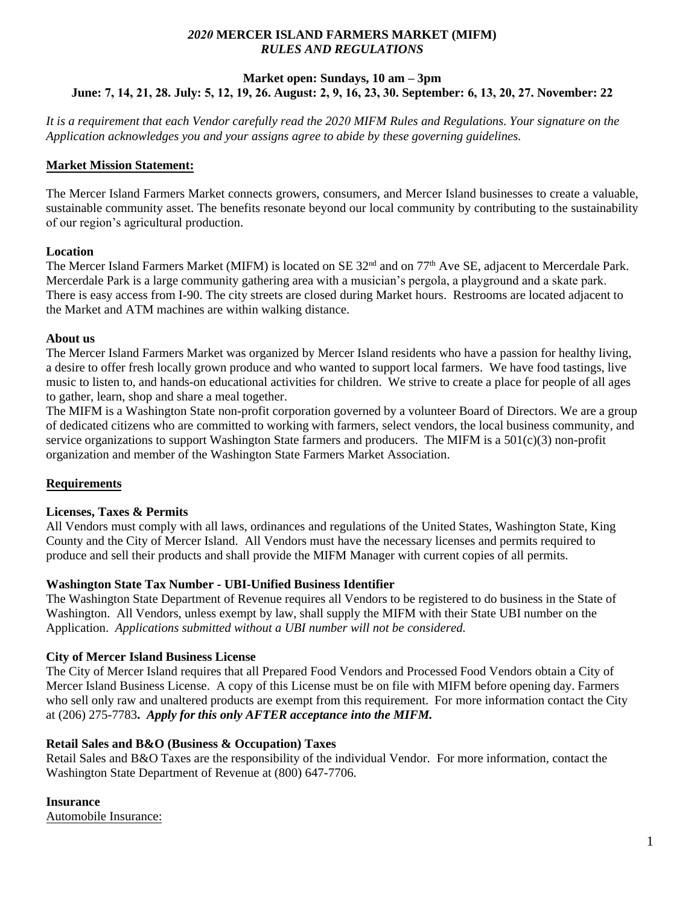### *2020* **MERCER ISLAND FARMERS MARKET (MIFM)**  *RULES AND REGULATIONS*

### **Market open: Sundays, 10 am – 3pm June: 7, 14, 21, 28. July: 5, 12, 19, 26. August: 2, 9, 16, 23, 30. September: 6, 13, 20, 27. November: 22**

*It is a requirement that each Vendor carefully read the 2020 MIFM Rules and Regulations. Your signature on the Application acknowledges you and your assigns agree to abide by these governing guidelines.* 

### **Market Mission Statement:**

The Mercer Island Farmers Market connects growers, consumers, and Mercer Island businesses to create a valuable, sustainable community asset. The benefits resonate beyond our local community by contributing to the sustainability of our region's agricultural production.

### **Location**

The Mercer Island Farmers Market (MIFM) is located on SE 32<sup>nd</sup> and on 77<sup>th</sup> Ave SE, adjacent to Mercerdale Park. Mercerdale Park is a large community gathering area with a musician's pergola, a playground and a skate park. There is easy access from I-90. The city streets are closed during Market hours. Restrooms are located adjacent to the Market and ATM machines are within walking distance.

#### **About us**

The Mercer Island Farmers Market was organized by Mercer Island residents who have a passion for healthy living, a desire to offer fresh locally grown produce and who wanted to support local farmers. We have food tastings, live music to listen to, and hands-on educational activities for children. We strive to create a place for people of all ages to gather, learn, shop and share a meal together.

The MIFM is a Washington State non-profit corporation governed by a volunteer Board of Directors. We are a group of dedicated citizens who are committed to working with farmers, select vendors, the local business community, and service organizations to support Washington State farmers and producers. The MIFM is a 501(c)(3) non-profit organization and member of the Washington State Farmers Market Association.

# **Requirements**

# **Licenses, Taxes & Permits**

All Vendors must comply with all laws, ordinances and regulations of the United States, Washington State, King County and the City of Mercer Island. All Vendors must have the necessary licenses and permits required to produce and sell their products and shall provide the MIFM Manager with current copies of all permits.

# **Washington State Tax Number - UBI-Unified Business Identifier**

The Washington State Department of Revenue requires all Vendors to be registered to do business in the State of Washington. All Vendors, unless exempt by law, shall supply the MIFM with their State UBI number on the Application. *Applications submitted without a UBI number will not be considered.*

# **City of Mercer Island Business License**

The City of Mercer Island requires that all Prepared Food Vendors and Processed Food Vendors obtain a City of Mercer Island Business License. A copy of this License must be on file with MIFM before opening day. Farmers who sell only raw and unaltered products are exempt from this requirement. For more information contact the City at (206) 275-7783**.** *Apply for this only AFTER acceptance into the MIFM.*

# **Retail Sales and B&O (Business & Occupation) Taxes**

Retail Sales and B&O Taxes are the responsibility of the individual Vendor. For more information, contact the Washington State Department of Revenue at (800) 647-7706.

# **Insurance**

Automobile Insurance: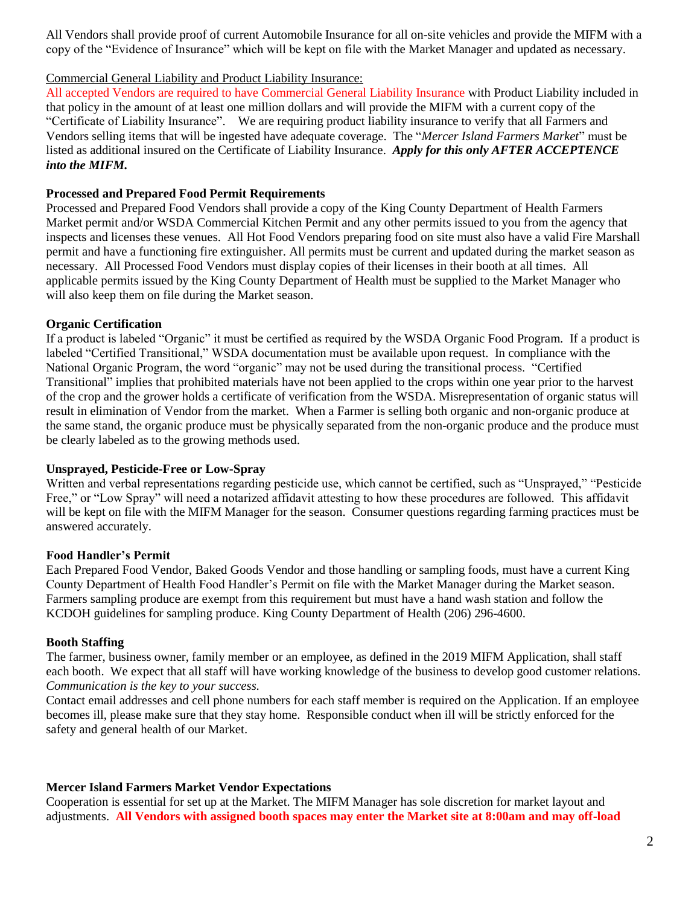All Vendors shall provide proof of current Automobile Insurance for all on-site vehicles and provide the MIFM with a copy of the "Evidence of Insurance" which will be kept on file with the Market Manager and updated as necessary.

### Commercial General Liability and Product Liability Insurance:

All accepted Vendors are required to have Commercial General Liability Insurance with Product Liability included in that policy in the amount of at least one million dollars and will provide the MIFM with a current copy of the "Certificate of Liability Insurance". We are requiring product liability insurance to verify that all Farmers and Vendors selling items that will be ingested have adequate coverage. The "*Mercer Island Farmers Market*" must be listed as additional insured on the Certificate of Liability Insurance. *Apply for this only AFTER ACCEPTENCE into the MIFM.*

### **Processed and Prepared Food Permit Requirements**

Processed and Prepared Food Vendors shall provide a copy of the King County Department of Health Farmers Market permit and/or WSDA Commercial Kitchen Permit and any other permits issued to you from the agency that inspects and licenses these venues. All Hot Food Vendors preparing food on site must also have a valid Fire Marshall permit and have a functioning fire extinguisher. All permits must be current and updated during the market season as necessary. All Processed Food Vendors must display copies of their licenses in their booth at all times. All applicable permits issued by the King County Department of Health must be supplied to the Market Manager who will also keep them on file during the Market season.

# **Organic Certification**

If a product is labeled "Organic" it must be certified as required by the WSDA Organic Food Program. If a product is labeled "Certified Transitional," WSDA documentation must be available upon request. In compliance with the National Organic Program, the word "organic" may not be used during the transitional process. "Certified Transitional" implies that prohibited materials have not been applied to the crops within one year prior to the harvest of the crop and the grower holds a certificate of verification from the WSDA. Misrepresentation of organic status will result in elimination of Vendor from the market. When a Farmer is selling both organic and non-organic produce at the same stand, the organic produce must be physically separated from the non-organic produce and the produce must be clearly labeled as to the growing methods used.

# **Unsprayed, Pesticide-Free or Low-Spray**

Written and verbal representations regarding pesticide use, which cannot be certified, such as "Unsprayed," "Pesticide Free," or "Low Spray" will need a notarized affidavit attesting to how these procedures are followed. This affidavit will be kept on file with the MIFM Manager for the season. Consumer questions regarding farming practices must be answered accurately.

# **Food Handler's Permit**

Each Prepared Food Vendor, Baked Goods Vendor and those handling or sampling foods, must have a current King County Department of Health Food Handler's Permit on file with the Market Manager during the Market season. Farmers sampling produce are exempt from this requirement but must have a hand wash station and follow the KCDOH guidelines for sampling produce. King County Department of Health (206) 296-4600.

#### **Booth Staffing**

The farmer, business owner, family member or an employee, as defined in the 2019 MIFM Application, shall staff each booth. We expect that all staff will have working knowledge of the business to develop good customer relations. *Communication is the key to your success.*

Contact email addresses and cell phone numbers for each staff member is required on the Application. If an employee becomes ill, please make sure that they stay home. Responsible conduct when ill will be strictly enforced for the safety and general health of our Market.

# **Mercer Island Farmers Market Vendor Expectations**

Cooperation is essential for set up at the Market. The MIFM Manager has sole discretion for market layout and adjustments. **All Vendors with assigned booth spaces may enter the Market site at 8:00am and may off-load**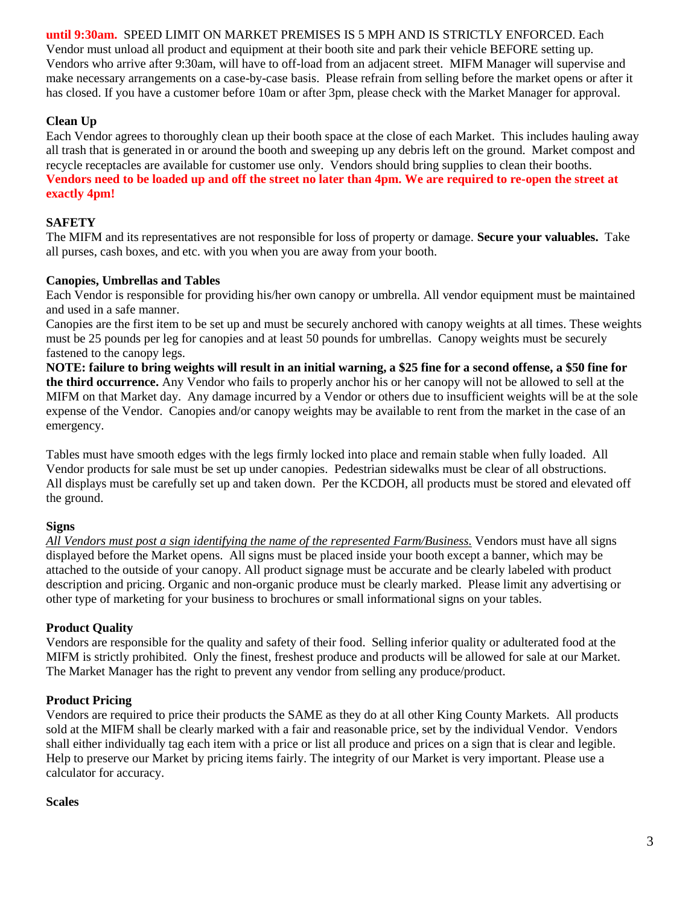**until 9:30am.** SPEED LIMIT ON MARKET PREMISES IS 5 MPH AND IS STRICTLY ENFORCED. Each Vendor must unload all product and equipment at their booth site and park their vehicle BEFORE setting up. Vendors who arrive after 9:30am, will have to off-load from an adjacent street. MIFM Manager will supervise and make necessary arrangements on a case-by-case basis. Please refrain from selling before the market opens or after it has closed. If you have a customer before 10am or after 3pm, please check with the Market Manager for approval.

# **Clean Up**

Each Vendor agrees to thoroughly clean up their booth space at the close of each Market. This includes hauling away all trash that is generated in or around the booth and sweeping up any debris left on the ground. Market compost and recycle receptacles are available for customer use only. Vendors should bring supplies to clean their booths. **Vendors need to be loaded up and off the street no later than 4pm. We are required to re-open the street at exactly 4pm!**

# **SAFETY**

The MIFM and its representatives are not responsible for loss of property or damage. **Secure your valuables.** Take all purses, cash boxes, and etc. with you when you are away from your booth.

# **Canopies, Umbrellas and Tables**

Each Vendor is responsible for providing his/her own canopy or umbrella. All vendor equipment must be maintained and used in a safe manner.

Canopies are the first item to be set up and must be securely anchored with canopy weights at all times. These weights must be 25 pounds per leg for canopies and at least 50 pounds for umbrellas. Canopy weights must be securely fastened to the canopy legs.

**NOTE: failure to bring weights will result in an initial warning, a \$25 fine for a second offense, a \$50 fine for the third occurrence.** Any Vendor who fails to properly anchor his or her canopy will not be allowed to sell at the MIFM on that Market day. Any damage incurred by a Vendor or others due to insufficient weights will be at the sole expense of the Vendor. Canopies and/or canopy weights may be available to rent from the market in the case of an emergency.

Tables must have smooth edges with the legs firmly locked into place and remain stable when fully loaded. All Vendor products for sale must be set up under canopies. Pedestrian sidewalks must be clear of all obstructions. All displays must be carefully set up and taken down. Per the KCDOH, all products must be stored and elevated off the ground.

# **Signs**

*All Vendors must post a sign identifying the name of the represented Farm/Business.* Vendors must have all signs displayed before the Market opens. All signs must be placed inside your booth except a banner, which may be attached to the outside of your canopy. All product signage must be accurate and be clearly labeled with product description and pricing. Organic and non-organic produce must be clearly marked. Please limit any advertising or other type of marketing for your business to brochures or small informational signs on your tables.

# **Product Quality**

Vendors are responsible for the quality and safety of their food. Selling inferior quality or adulterated food at the MIFM is strictly prohibited. Only the finest, freshest produce and products will be allowed for sale at our Market. The Market Manager has the right to prevent any vendor from selling any produce/product.

# **Product Pricing**

Vendors are required to price their products the SAME as they do at all other King County Markets. All products sold at the MIFM shall be clearly marked with a fair and reasonable price, set by the individual Vendor. Vendors shall either individually tag each item with a price or list all produce and prices on a sign that is clear and legible. Help to preserve our Market by pricing items fairly. The integrity of our Market is very important. Please use a calculator for accuracy.

#### **Scales**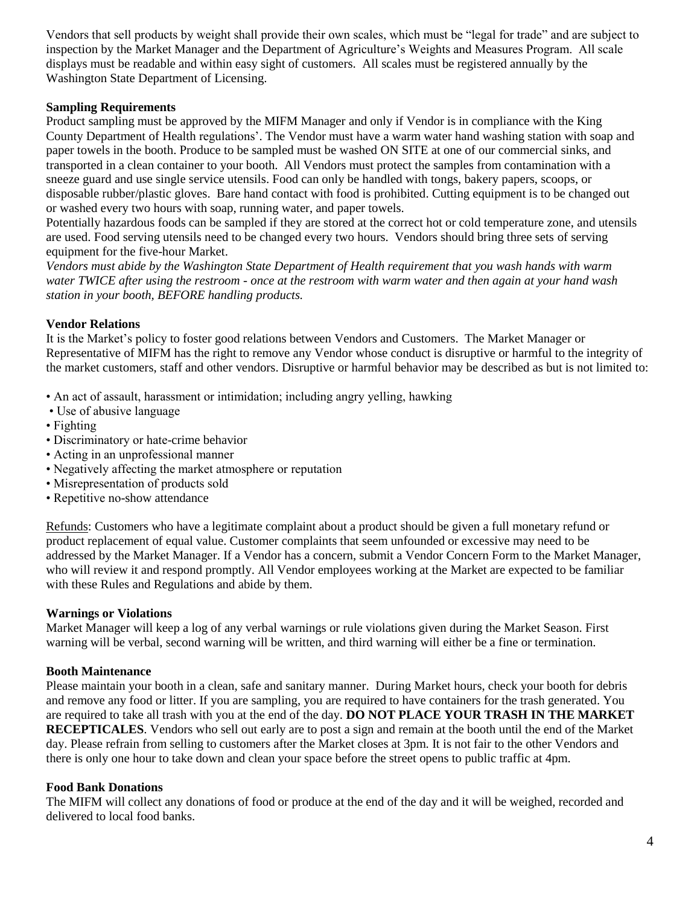Vendors that sell products by weight shall provide their own scales, which must be "legal for trade" and are subject to inspection by the Market Manager and the Department of Agriculture's Weights and Measures Program. All scale displays must be readable and within easy sight of customers. All scales must be registered annually by the Washington State Department of Licensing.

### **Sampling Requirements**

Product sampling must be approved by the MIFM Manager and only if Vendor is in compliance with the King County Department of Health regulations'. The Vendor must have a warm water hand washing station with soap and paper towels in the booth. Produce to be sampled must be washed ON SITE at one of our commercial sinks, and transported in a clean container to your booth. All Vendors must protect the samples from contamination with a sneeze guard and use single service utensils. Food can only be handled with tongs, bakery papers, scoops, or disposable rubber/plastic gloves. Bare hand contact with food is prohibited. Cutting equipment is to be changed out or washed every two hours with soap, running water, and paper towels.

Potentially hazardous foods can be sampled if they are stored at the correct hot or cold temperature zone, and utensils are used. Food serving utensils need to be changed every two hours. Vendors should bring three sets of serving equipment for the five-hour Market.

*Vendors must abide by the Washington State Department of Health requirement that you wash hands with warm water TWICE after using the restroom - once at the restroom with warm water and then again at your hand wash station in your booth, BEFORE handling products.*

### **Vendor Relations**

It is the Market's policy to foster good relations between Vendors and Customers. The Market Manager or Representative of MIFM has the right to remove any Vendor whose conduct is disruptive or harmful to the integrity of the market customers, staff and other vendors. Disruptive or harmful behavior may be described as but is not limited to:

- An act of assault, harassment or intimidation; including angry yelling, hawking
- Use of abusive language
- Fighting
- Discriminatory or hate-crime behavior
- Acting in an unprofessional manner
- Negatively affecting the market atmosphere or reputation
- Misrepresentation of products sold
- Repetitive no-show attendance

Refunds: Customers who have a legitimate complaint about a product should be given a full monetary refund or product replacement of equal value. Customer complaints that seem unfounded or excessive may need to be addressed by the Market Manager. If a Vendor has a concern, submit a Vendor Concern Form to the Market Manager, who will review it and respond promptly. All Vendor employees working at the Market are expected to be familiar with these Rules and Regulations and abide by them.

#### **Warnings or Violations**

Market Manager will keep a log of any verbal warnings or rule violations given during the Market Season. First warning will be verbal, second warning will be written, and third warning will either be a fine or termination.

# **Booth Maintenance**

Please maintain your booth in a clean, safe and sanitary manner. During Market hours, check your booth for debris and remove any food or litter. If you are sampling, you are required to have containers for the trash generated. You are required to take all trash with you at the end of the day. **DO NOT PLACE YOUR TRASH IN THE MARKET RECEPTICALES**. Vendors who sell out early are to post a sign and remain at the booth until the end of the Market day. Please refrain from selling to customers after the Market closes at 3pm. It is not fair to the other Vendors and there is only one hour to take down and clean your space before the street opens to public traffic at 4pm.

#### **Food Bank Donations**

The MIFM will collect any donations of food or produce at the end of the day and it will be weighed, recorded and delivered to local food banks.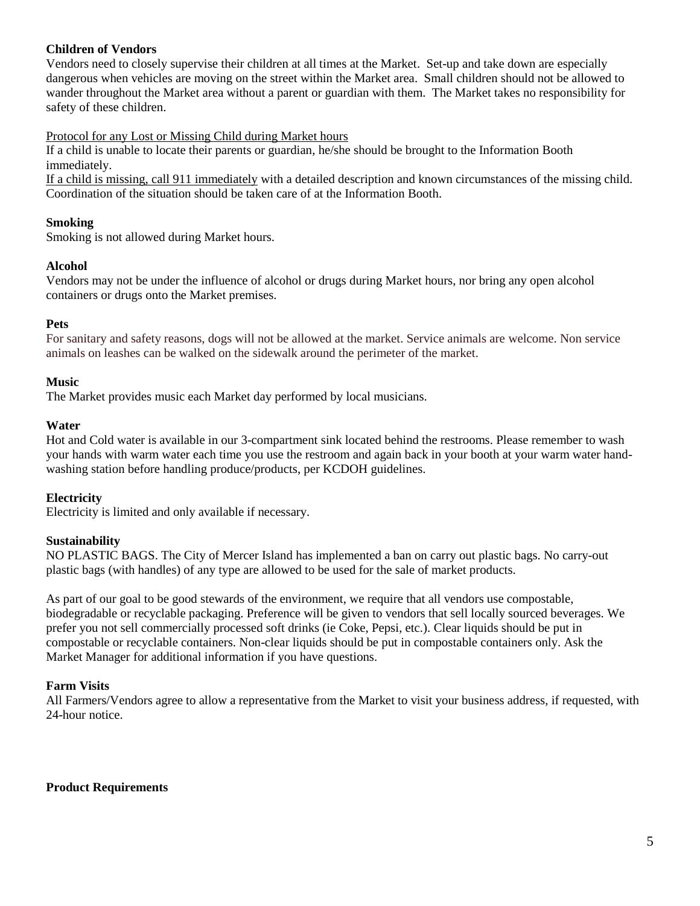### **Children of Vendors**

Vendors need to closely supervise their children at all times at the Market. Set-up and take down are especially dangerous when vehicles are moving on the street within the Market area. Small children should not be allowed to wander throughout the Market area without a parent or guardian with them. The Market takes no responsibility for safety of these children.

Protocol for any Lost or Missing Child during Market hours

If a child is unable to locate their parents or guardian, he/she should be brought to the Information Booth immediately.

If a child is missing, call 911 immediately with a detailed description and known circumstances of the missing child. Coordination of the situation should be taken care of at the Information Booth.

#### **Smoking**

Smoking is not allowed during Market hours.

#### **Alcohol**

Vendors may not be under the influence of alcohol or drugs during Market hours, nor bring any open alcohol containers or drugs onto the Market premises.

### **Pets**

For sanitary and safety reasons, dogs will not be allowed at the market. Service animals are welcome. Non service animals on leashes can be walked on the sidewalk around the perimeter of the market.

#### **Music**

The Market provides music each Market day performed by local musicians.

#### **Water**

Hot and Cold water is available in our 3-compartment sink located behind the restrooms. Please remember to wash your hands with warm water each time you use the restroom and again back in your booth at your warm water handwashing station before handling produce/products, per KCDOH guidelines.

#### **Electricity**

Electricity is limited and only available if necessary.

#### **Sustainability**

NO PLASTIC BAGS. The City of Mercer Island has implemented a ban on carry out plastic bags. No carry-out plastic bags (with handles) of any type are allowed to be used for the sale of market products.

As part of our goal to be good stewards of the environment, we require that all vendors use compostable, biodegradable or recyclable packaging. Preference will be given to vendors that sell locally sourced beverages. We prefer you not sell commercially processed soft drinks (ie Coke, Pepsi, etc.). Clear liquids should be put in compostable or recyclable containers. Non-clear liquids should be put in compostable containers only. Ask the Market Manager for additional information if you have questions.

#### **Farm Visits**

All Farmers/Vendors agree to allow a representative from the Market to visit your business address, if requested, with 24-hour notice.

**Product Requirements**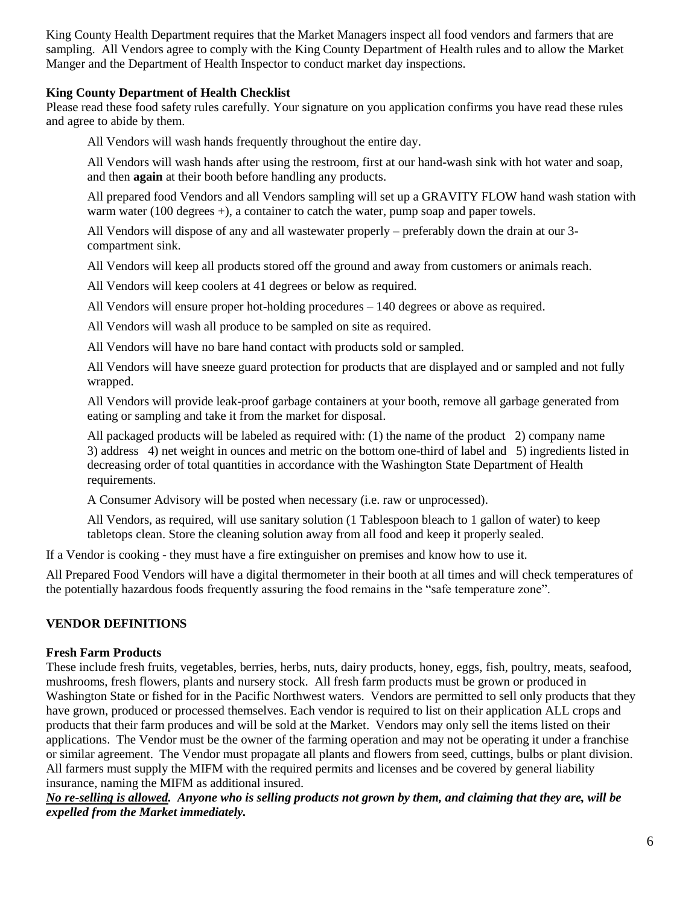King County Health Department requires that the Market Managers inspect all food vendors and farmers that are sampling. All Vendors agree to comply with the King County Department of Health rules and to allow the Market Manger and the Department of Health Inspector to conduct market day inspections.

### **King County Department of Health Checklist**

Please read these food safety rules carefully. Your signature on you application confirms you have read these rules and agree to abide by them.

All Vendors will wash hands frequently throughout the entire day.

All Vendors will wash hands after using the restroom, first at our hand-wash sink with hot water and soap, and then **again** at their booth before handling any products.

All prepared food Vendors and all Vendors sampling will set up a GRAVITY FLOW hand wash station with warm water (100 degrees +), a container to catch the water, pump soap and paper towels.

All Vendors will dispose of any and all wastewater properly – preferably down the drain at our 3 compartment sink.

All Vendors will keep all products stored off the ground and away from customers or animals reach.

All Vendors will keep coolers at 41 degrees or below as required.

All Vendors will ensure proper hot-holding procedures – 140 degrees or above as required.

All Vendors will wash all produce to be sampled on site as required.

All Vendors will have no bare hand contact with products sold or sampled.

All Vendors will have sneeze guard protection for products that are displayed and or sampled and not fully wrapped.

All Vendors will provide leak-proof garbage containers at your booth, remove all garbage generated from eating or sampling and take it from the market for disposal.

All packaged products will be labeled as required with: (1) the name of the product 2) company name 3) address 4) net weight in ounces and metric on the bottom one-third of label and 5) ingredients listed in decreasing order of total quantities in accordance with the Washington State Department of Health requirements.

A Consumer Advisory will be posted when necessary (i.e. raw or unprocessed).

All Vendors, as required, will use sanitary solution (1 Tablespoon bleach to 1 gallon of water) to keep tabletops clean. Store the cleaning solution away from all food and keep it properly sealed.

If a Vendor is cooking - they must have a fire extinguisher on premises and know how to use it.

All Prepared Food Vendors will have a digital thermometer in their booth at all times and will check temperatures of the potentially hazardous foods frequently assuring the food remains in the "safe temperature zone".

# **VENDOR DEFINITIONS**

#### **Fresh Farm Products**

These include fresh fruits, vegetables, berries, herbs, nuts, dairy products, honey, eggs, fish, poultry, meats, seafood, mushrooms, fresh flowers, plants and nursery stock. All fresh farm products must be grown or produced in Washington State or fished for in the Pacific Northwest waters. Vendors are permitted to sell only products that they have grown, produced or processed themselves. Each vendor is required to list on their application ALL crops and products that their farm produces and will be sold at the Market. Vendors may only sell the items listed on their applications. The Vendor must be the owner of the farming operation and may not be operating it under a franchise or similar agreement. The Vendor must propagate all plants and flowers from seed, cuttings, bulbs or plant division. All farmers must supply the MIFM with the required permits and licenses and be covered by general liability insurance, naming the MIFM as additional insured.

*No re-selling is allowed. Anyone who is selling products not grown by them, and claiming that they are, will be expelled from the Market immediately.*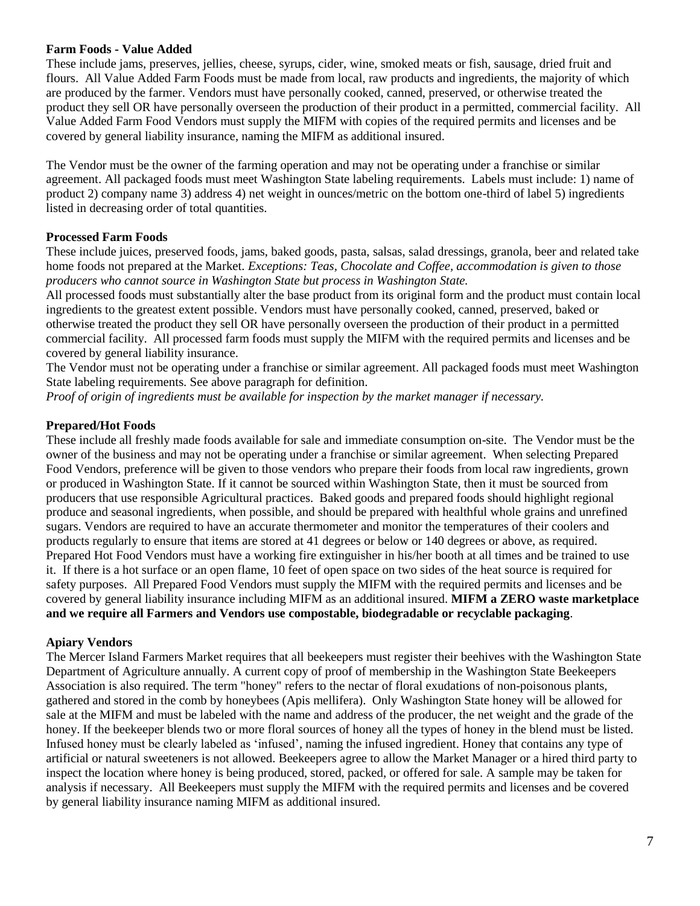### **Farm Foods - Value Added**

These include jams, preserves, jellies, cheese, syrups, cider, wine, smoked meats or fish, sausage, dried fruit and flours. All Value Added Farm Foods must be made from local, raw products and ingredients, the majority of which are produced by the farmer. Vendors must have personally cooked, canned, preserved, or otherwise treated the product they sell OR have personally overseen the production of their product in a permitted, commercial facility. All Value Added Farm Food Vendors must supply the MIFM with copies of the required permits and licenses and be covered by general liability insurance, naming the MIFM as additional insured.

The Vendor must be the owner of the farming operation and may not be operating under a franchise or similar agreement. All packaged foods must meet Washington State labeling requirements. Labels must include: 1) name of product 2) company name 3) address 4) net weight in ounces/metric on the bottom one-third of label 5) ingredients listed in decreasing order of total quantities.

# **Processed Farm Foods**

These include juices, preserved foods, jams, baked goods, pasta, salsas, salad dressings, granola, beer and related take home foods not prepared at the Market. *Exceptions: Teas, Chocolate and Coffee, accommodation is given to those producers who cannot source in Washington State but process in Washington State.*

All processed foods must substantially alter the base product from its original form and the product must contain local ingredients to the greatest extent possible. Vendors must have personally cooked, canned, preserved, baked or otherwise treated the product they sell OR have personally overseen the production of their product in a permitted commercial facility. All processed farm foods must supply the MIFM with the required permits and licenses and be covered by general liability insurance.

The Vendor must not be operating under a franchise or similar agreement. All packaged foods must meet Washington State labeling requirements. See above paragraph for definition.

*Proof of origin of ingredients must be available for inspection by the market manager if necessary.* 

# **Prepared/Hot Foods**

These include all freshly made foods available for sale and immediate consumption on-site. The Vendor must be the owner of the business and may not be operating under a franchise or similar agreement. When selecting Prepared Food Vendors, preference will be given to those vendors who prepare their foods from local raw ingredients, grown or produced in Washington State. If it cannot be sourced within Washington State, then it must be sourced from producers that use responsible Agricultural practices. Baked goods and prepared foods should highlight regional produce and seasonal ingredients, when possible, and should be prepared with healthful whole grains and unrefined sugars. Vendors are required to have an accurate thermometer and monitor the temperatures of their coolers and products regularly to ensure that items are stored at 41 degrees or below or 140 degrees or above, as required. Prepared Hot Food Vendors must have a working fire extinguisher in his/her booth at all times and be trained to use it. If there is a hot surface or an open flame, 10 feet of open space on two sides of the heat source is required for safety purposes. All Prepared Food Vendors must supply the MIFM with the required permits and licenses and be covered by general liability insurance including MIFM as an additional insured. **MIFM a ZERO waste marketplace and we require all Farmers and Vendors use compostable, biodegradable or recyclable packaging**.

# **Apiary Vendors**

The Mercer Island Farmers Market requires that all beekeepers must register their beehives with the Washington State Department of Agriculture annually. A current copy of proof of membership in the Washington State Beekeepers Association is also required. The term "honey" refers to the nectar of floral exudations of non-poisonous plants, gathered and stored in the comb by honeybees (Apis mellifera). Only Washington State honey will be allowed for sale at the MIFM and must be labeled with the name and address of the producer, the net weight and the grade of the honey. If the beekeeper blends two or more floral sources of honey all the types of honey in the blend must be listed. Infused honey must be clearly labeled as 'infused', naming the infused ingredient. Honey that contains any type of artificial or natural sweeteners is not allowed. Beekeepers agree to allow the Market Manager or a hired third party to inspect the location where honey is being produced, stored, packed, or offered for sale. A sample may be taken for analysis if necessary. All Beekeepers must supply the MIFM with the required permits and licenses and be covered by general liability insurance naming MIFM as additional insured.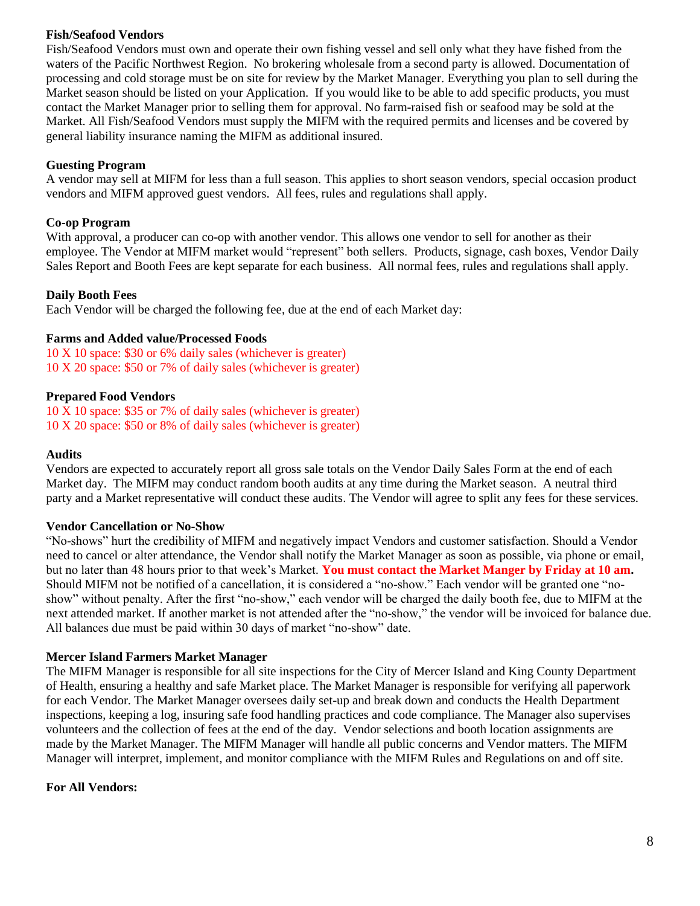### **Fish/Seafood Vendors**

Fish/Seafood Vendors must own and operate their own fishing vessel and sell only what they have fished from the waters of the Pacific Northwest Region. No brokering wholesale from a second party is allowed. Documentation of processing and cold storage must be on site for review by the Market Manager. Everything you plan to sell during the Market season should be listed on your Application. If you would like to be able to add specific products, you must contact the Market Manager prior to selling them for approval. No farm-raised fish or seafood may be sold at the Market. All Fish/Seafood Vendors must supply the MIFM with the required permits and licenses and be covered by general liability insurance naming the MIFM as additional insured.

### **Guesting Program**

A vendor may sell at MIFM for less than a full season. This applies to short season vendors, special occasion product vendors and MIFM approved guest vendors. All fees, rules and regulations shall apply.

#### **Co-op Program**

With approval, a producer can co-op with another vendor. This allows one vendor to sell for another as their employee. The Vendor at MIFM market would "represent" both sellers. Products, signage, cash boxes, Vendor Daily Sales Report and Booth Fees are kept separate for each business. All normal fees, rules and regulations shall apply.

### **Daily Booth Fees**

Each Vendor will be charged the following fee, due at the end of each Market day:

#### **Farms and Added value/Processed Foods**

10 X 10 space: \$30 or 6% daily sales (whichever is greater) 10 X 20 space: \$50 or 7% of daily sales (whichever is greater)

#### **Prepared Food Vendors**

10 X 10 space: \$35 or 7% of daily sales (whichever is greater) 10 X 20 space: \$50 or 8% of daily sales (whichever is greater)

### **Audits**

Vendors are expected to accurately report all gross sale totals on the Vendor Daily Sales Form at the end of each Market day. The MIFM may conduct random booth audits at any time during the Market season. A neutral third party and a Market representative will conduct these audits. The Vendor will agree to split any fees for these services.

#### **Vendor Cancellation or No-Show**

"No-shows" hurt the credibility of MIFM and negatively impact Vendors and customer satisfaction. Should a Vendor need to cancel or alter attendance, the Vendor shall notify the Market Manager as soon as possible, via phone or email, but no later than 48 hours prior to that week's Market. **You must contact the Market Manger by Friday at 10 am.** Should MIFM not be notified of a cancellation, it is considered a "no-show." Each vendor will be granted one "noshow" without penalty. After the first "no-show," each vendor will be charged the daily booth fee, due to MIFM at the next attended market. If another market is not attended after the "no-show," the vendor will be invoiced for balance due. All balances due must be paid within 30 days of market "no-show" date.

#### **Mercer Island Farmers Market Manager**

The MIFM Manager is responsible for all site inspections for the City of Mercer Island and King County Department of Health, ensuring a healthy and safe Market place. The Market Manager is responsible for verifying all paperwork for each Vendor. The Market Manager oversees daily set-up and break down and conducts the Health Department inspections, keeping a log, insuring safe food handling practices and code compliance. The Manager also supervises volunteers and the collection of fees at the end of the day. Vendor selections and booth location assignments are made by the Market Manager. The MIFM Manager will handle all public concerns and Vendor matters. The MIFM Manager will interpret, implement, and monitor compliance with the MIFM Rules and Regulations on and off site.

#### **For All Vendors:**